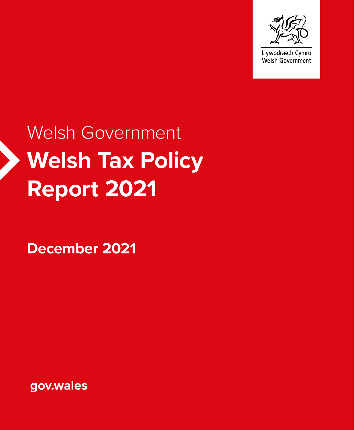

Llywodraeth Cymru Welsh Government

# **Welsh Tax Policy Report 2021** Welsh Government

**December 2021**

**gov.wales**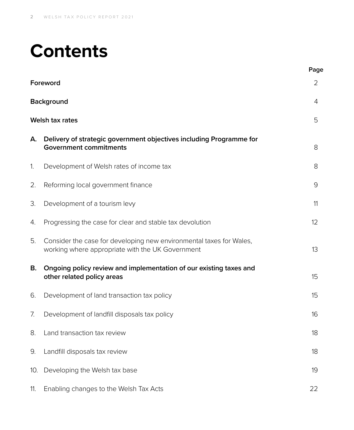## **Contents**

|     |                                                                                                                         | Page |  |
|-----|-------------------------------------------------------------------------------------------------------------------------|------|--|
|     | Foreword                                                                                                                | 2    |  |
|     | <b>Background</b><br>4                                                                                                  |      |  |
|     | Welsh tax rates                                                                                                         | 5    |  |
| А.  | Delivery of strategic government objectives including Programme for<br><b>Government commitments</b>                    | 8    |  |
| 1.  | Development of Welsh rates of income tax                                                                                | 8    |  |
| 2.  | Reforming local government finance                                                                                      | 9    |  |
| 3.  | Development of a tourism levy                                                                                           | 11   |  |
| 4.  | Progressing the case for clear and stable tax devolution                                                                | 12   |  |
| 5.  | Consider the case for developing new environmental taxes for Wales,<br>working where appropriate with the UK Government | 13   |  |
| В.  | Ongoing policy review and implementation of our existing taxes and<br>other related policy areas                        | 15   |  |
| 6.  | Development of land transaction tax policy                                                                              | 15   |  |
| 7.  | Development of landfill disposals tax policy                                                                            | 16   |  |
|     | 8. Land transaction tax review                                                                                          | 18   |  |
| 9.  | Landfill disposals tax review                                                                                           | 18   |  |
| 10. | Developing the Welsh tax base                                                                                           | 19   |  |
| 11. | Enabling changes to the Welsh Tax Acts                                                                                  | 22   |  |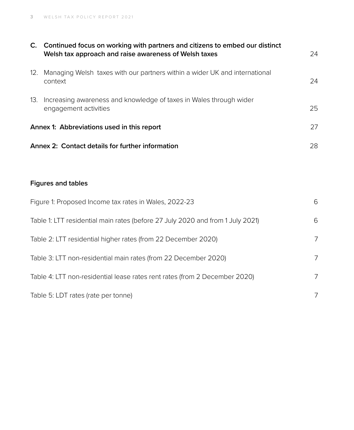|                                                  | C. Continued focus on working with partners and citizens to embed our distinct<br>Welsh tax approach and raise awareness of Welsh taxes | 24             |  |
|--------------------------------------------------|-----------------------------------------------------------------------------------------------------------------------------------------|----------------|--|
| 12.                                              | Managing Welsh taxes with our partners within a wider UK and international<br>context                                                   | 24             |  |
| 13.                                              | Increasing awareness and knowledge of taxes in Wales through wider<br>engagement activities                                             | 25             |  |
|                                                  | Annex 1: Abbreviations used in this report                                                                                              | 27             |  |
| Annex 2: Contact details for further information |                                                                                                                                         | 28             |  |
|                                                  |                                                                                                                                         |                |  |
|                                                  | <b>Figures and tables</b>                                                                                                               |                |  |
|                                                  | Figure 1: Proposed Income tax rates in Wales, 2022-23                                                                                   | 6              |  |
|                                                  | Table 1: LTT residential main rates (before 27 July 2020 and from 1 July 2021)                                                          | 6              |  |
|                                                  | Table 2: LTT residential higher rates (from 22 December 2020)                                                                           | 7              |  |
|                                                  | Table 3: LTT non-residential main rates (from 22 December 2020)                                                                         | $\overline{7}$ |  |
|                                                  | Table 4: LTT non-residential lease rates rent rates (from 2 December 2020)                                                              | $\overline{7}$ |  |
|                                                  | Table 5: LDT rates (rate per tonne)                                                                                                     |                |  |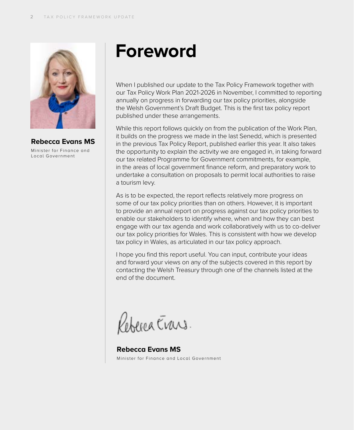

**Rebecca Evans MS** Minis ter for Finance and

Local Government

## **Foreword**

When I published our update to the Tax Policy Framework together with our Tax Policy Work Plan 2021-2026 in November, I committed to reporting annually on progress in forwarding our tax policy priorities, alongside the Welsh Government's Draft Budget. This is the first tax policy report published under these arrangements.

While this report follows quickly on from the publication of the Work Plan, it builds on the progress we made in the last Senedd, which is presented in the previous Tax Policy Report, published earlier this year. It also takes the opportunity to explain the activity we are engaged in, in taking forward our tax related Programme for Government commitments, for example, in the areas of local government finance reform, and preparatory work to undertake a consultation on proposals to permit local authorities to raise a tourism levy.

As is to be expected, the report reflects relatively more progress on some of our tax policy priorities than on others. However, it is important to provide an annual report on progress against our tax policy priorities to enable our stakeholders to identify where, when and how they can best engage with our tax agenda and work collaboratively with us to co-deliver our tax policy priorities for Wales. This is consistent with how we develop tax policy in Wales, as articulated in our tax policy approach.

I hope you find this report useful. You can input, contribute your ideas and forward your views on any of the subjects covered in this report by contacting the Welsh Treasury through one of the channels listed at the end of the document.

Rebenca Erans

**Rebecca Evans MS** Minis ter for Finance and Local Government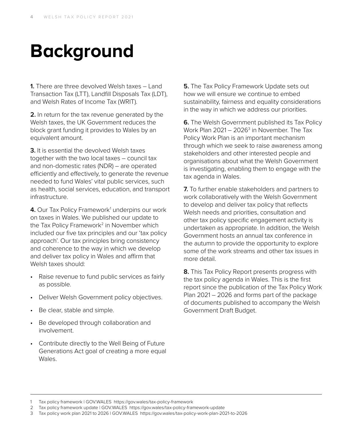## **Background**

**1.** There are three devolved Welsh taxes – Land Transaction Tax (LTT), Landfill Disposals Tax (LDT), and Welsh Rates of Income Tax (WRIT).

**2.** In return for the tax revenue generated by the Welsh taxes, the UK Government reduces the block grant funding it provides to Wales by an equivalent amount.

**3.** It is essential the devolved Welsh taxes together with the two local taxes – council tax and non-domestic rates (NDR) – are operated efficiently and effectively, to generate the revenue needed to fund Wales' vital public services, such as health, social services, education, and transport infrastructure.

4. Our Tax Policy Framework<sup>1</sup> underpins our work on taxes in Wales. We published our update to the Tax Policy Framework<sup>2</sup> in November which included our five tax principles and our 'tax policy approach'. Our tax principles bring consistency and coherence to the way in which we develop and deliver tax policy in Wales and affirm that Welsh taxes should:

- Raise revenue to fund public services as fairly as possible.
- Deliver Welsh Government policy objectives.
- Be clear, stable and simple.
- Be developed through collaboration and involvement.
- Contribute directly to the Well Being of Future Generations Act goal of creating a more equal Wales.

**5.** The Tax Policy Framework Update sets out how we will ensure we continue to embed sustainability, fairness and equality considerations in the way in which we address our priorities.

**6.** The Welsh Government published its Tax Policy Work Plan  $2021 - 2026<sup>3</sup>$  in November. The Tax Policy Work Plan is an important mechanism through which we seek to raise awareness among stakeholders and other interested people and organisations about what the Welsh Government is investigating, enabling them to engage with the tax agenda in Wales.

**7.** To further enable stakeholders and partners to work collaboratively with the Welsh Government to develop and deliver tax policy that reflects Welsh needs and priorities, consultation and other tax policy specific engagement activity is undertaken as appropriate. In addition, the Welsh Government hosts an annual tax conference in the autumn to provide the opportunity to explore some of the work streams and other tax issues in more detail.

**8.** This Tax Policy Report presents progress with the tax policy agenda in Wales. This is the first report since the publication of the Tax Policy Work Plan 2021 – 2026 and forms part of the package of documents published to accompany the Welsh Government Draft Budget.

<sup>1</sup> Tax policy framework | GOV.WALES https://gov.wales/tax-policy-framework

<sup>2</sup> Tax policy framework update | GOV.WALES https://gov.wales/tax-policy-framework-update

<sup>3</sup> Tax policy work plan 2021 to 2026 | GOV.WALES https://gov.wales/tax-policy-work-plan-2021-to-2026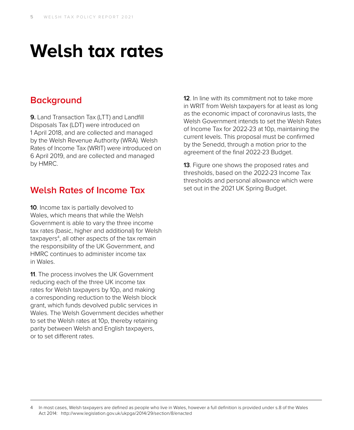## **Welsh tax rates**

### **Background**

**9.** Land Transaction Tax (LTT) and Landfill Disposals Tax (LDT) were introduced on 1 April 2018, and are collected and managed by the Welsh Revenue Authority (WRA). Welsh Rates of Income Tax (WRIT) were introduced on 6 April 2019, and are collected and managed by HMRC.

## **Welsh Rates of Income Tax**

**10**. Income tax is partially devolved to Wales, which means that while the Welsh Government is able to vary the three income tax rates (basic, higher and additional) for Welsh taxpayers<sup>4</sup>, all other aspects of the tax remain the responsibility of the UK Government, and HMRC continues to administer income tax in Wales.

**11**. The process involves the UK Government reducing each of the three UK income tax rates for Welsh taxpayers by 10p, and making a corresponding reduction to the Welsh block grant, which funds devolved public services in Wales. The Welsh Government decides whether to set the Welsh rates at 10p, thereby retaining parity between Welsh and English taxpayers, or to set different rates.

**12**. In line with its commitment not to take more in WRIT from Welsh taxpayers for at least as long as the economic impact of coronavirus lasts, the Welsh Government intends to set the Welsh Rates of Income Tax for 2022-23 at 10p, maintaining the current levels. This proposal must be confirmed by the Senedd, through a motion prior to the agreement of the final 2022-23 Budget.

**13**. Figure one shows the proposed rates and thresholds, based on the 2022-23 Income Tax thresholds and personal allowance which were set out in the 2021 UK Spring Budget.

<sup>4</sup> In most cases, Welsh taxpayers are defined as people who live in Wales, however a full definition is provided under s.8 of the Wales Act 2014: http://www.legislation.gov.uk/ukpga/2014/29/section/8/enacted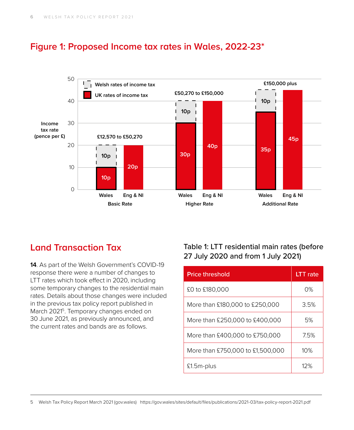

**Basic Rate Higher Rate Additional Rate**

## **Figure 1: Proposed Income tax rates in Wales, 2022-23\***

## **Land Transaction Tax**

**14**. As part of the Welsh Government's COVID-19 response there were a number of changes to LTT rates which took effect in 2020, including some temporary changes to the residential main rates. Details about those changes were included in the previous tax policy report published in March 2021<sup>5</sup>. Temporary changes ended on 30 June 2021, as previously announced, and the current rates and bands are as follows.

### Table 1: LTT residential main rates (before 27 July 2020 and from 1 July 2021)

| <b>Price threshold</b>           | LTT rate |
|----------------------------------|----------|
| £0 to £180,000                   | 0%       |
| More than £180,000 to £250,000   | 3.5%     |
| More than £250,000 to £400,000   | 5%       |
| More than £400,000 to £750,000   | 7.5%     |
| More than £750,000 to £1,500,000 | 10%      |
| £1.5m-plus                       | 17%      |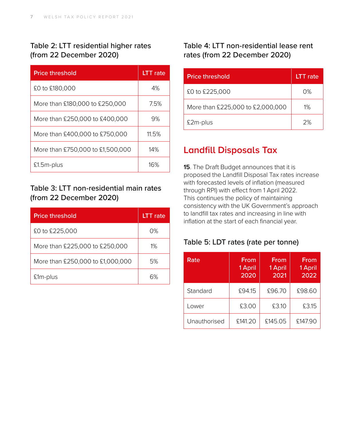### Table 2: LTT residential higher rates (from 22 December 2020)

| <b>Price threshold</b>           | <b>LTT</b> rate |
|----------------------------------|-----------------|
| £0 to £180,000                   | 4%              |
| More than £180,000 to £250,000   | 7.5%            |
| More than £250,000 to £400,000   | 9%              |
| More than £400,000 to £750,000   | 11.5%           |
| More than £750,000 to £1,500,000 | 14%             |
| £1.5m-plus                       | 16%             |

### Table 3: LTT non-residential main rates (from 22 December 2020)

| <b>Price threshold</b>           | <b>LTT</b> rate |
|----------------------------------|-----------------|
| £0 to £225,000                   | በ%              |
| More than £225,000 to £250,000   | $1\%$           |
| More than £250,000 to £1,000,000 | 5%              |
| £1 <sub>m</sub> -plus            |                 |

### Table 4: LTT non-residential lease rent rates (from 22 December 2020)

| <b>Price threshold</b>           | <b>LTT</b> rate |
|----------------------------------|-----------------|
| £0 to £225,000                   | $\Omega\%$      |
| More than £225,000 to £2,000,000 | $1\%$           |
| £2m-plus                         | 2%              |

## **Landfill Disposals Tax**

**15**. The Draft Budget announces that it is proposed the Landfill Disposal Tax rates increase with forecasted levels of inflation (measured through RPI) with effect from 1 April 2022. This continues the policy of maintaining consistency with the UK Government's approach to landfill tax rates and increasing in line with inflation at the start of each financial year.

#### Table 5: LDT rates (rate per tonne)

| Rate         | From<br>1 April<br>2020 | From<br>1 April<br>2021 | From<br>1 April<br>2022 |
|--------------|-------------------------|-------------------------|-------------------------|
| Standard     | £94.15                  | £96.70                  | £98.60                  |
| Lower        | £3.00                   | £3.10                   | £3.15                   |
| Unauthorised | £141.20                 | £145.05                 | £147.90                 |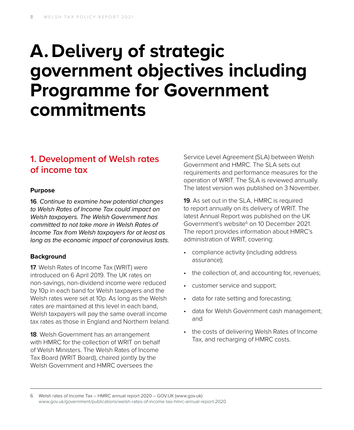## **A. Delivery of strategic government objectives including Programme for Government commitments**

## **1. Development of Welsh rates of income tax**

#### **Purpose**

**16**. *Continue to examine how potential changes to Welsh Rates of Income Tax could impact on Welsh taxpayers. The Welsh Government has committed to not take more in Welsh Rates of Income Tax from Welsh taxpayers for at least as long as the economic impact of coronavirus lasts.*

#### **Background**

**17**. Welsh Rates of Income Tax (WRIT) were introduced on 6 April 2019. The UK rates on non-savings, non-dividend income were reduced by 10p in each band for Welsh taxpayers and the Welsh rates were set at 10p. As long as the Welsh rates are maintained at this level in each band, Welsh taxpayers will pay the same overall income tax rates as those in England and Northern Ireland.

**18**. Welsh Government has an arrangement with HMRC for the collection of WRIT on behalf of Welsh Ministers. The Welsh Rates of Income Tax Board (WRIT Board), chaired jointly by the Welsh Government and HMRC oversees the

Service Level Agreement (SLA) between Welsh Government and HMRC. The SLA sets out requirements and performance measures for the operation of WRIT. The SLA is reviewed annually. The latest version was published on 3 November.

**19**. As set out in the SLA, HMRC is required to report annually on its delivery of WRIT. The latest Annual Report was published on the UK Government's website<sup>6</sup> on 10 December 2021. The report provides information about HMRC's administration of WRIT, covering:

- compliance activity (including address assurance);
- the collection of, and accounting for, revenues;
- customer service and support;
- data for rate setting and forecasting;
- data for Welsh Government cash management; and
- the costs of delivering Welsh Rates of Income Tax, and recharging of HMRC costs.

6 Welsh rates of Income Tax – HMRC annual report 2020 – GOV.UK (www.gov.uk) [www.gov.uk/government/publications/welsh-rates-of-income-tax-hmrc-annual-report-2020](http://www.gov.uk/government/publications/welsh-rates-of-income-tax-hmrc-annual-report-2020)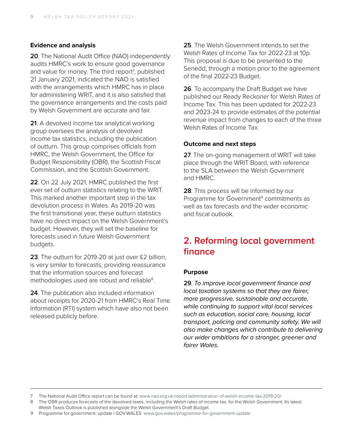#### **Evidence and analysis**

**20**. The National Audit Office (NAO) independently audits HMRC's work to ensure good governance and value for money. The third report<sup>7</sup>, published 21 January 2021, indicated the NAO is satisfied with the arrangements which HMRC has in place for administering WRIT, and it is also satisfied that the governance arrangements and the costs paid by Welsh Government are accurate and fair.

**21**. A devolved income tax analytical working group oversees the analysis of devolved income tax statistics, including the publication of outturn. This group comprises officials from HMRC, the Welsh Government, the Office for Budget Responsibility (OBR), the Scottish Fiscal Commission, and the Scottish Government.

**22**. On 22 July 2021, HMRC published the first ever set of outturn statistics relating to the WRIT. This marked another important step in the tax devolution process in Wales. As 2019-20 was the first transitional year, these outturn statistics have no direct impact on the Welsh Government's budget. However, they will set the baseline for forecasts used in future Welsh Government budgets.

**23**. The outturn for 2019-20 at just over £2 billion, is very similar to forecasts, providing reassurance that the information sources and forecast methodologies used are robust and reliable<sup>8</sup>.

**24**. The publication also included information about receipts for 2020-21 from HMRC's Real Time Information (RTI) system which have also not been released publicly before.

**25**. The Welsh Government intends to set the Welsh Rates of Income Tax for 2022-23 at 10p. This proposal is due to be presented to the Senedd, through a motion prior to the agreement of the final 2022-23 Budget.

**26**. To accompany the Draft Budget we have published our Ready Reckoner for Welsh Rates of Income Tax. This has been updated for 2022-23 and 2023-24 to provide estimates of the potential revenue impact from changes to each of the three Welsh Rates of Income Tax.

#### **Outcome and next steps**

**27**. The on-going management of WRIT will take place through the WRIT Board, with reference to the SLA between the Welsh Government and HMRC.

**28**. This process will be informed by our Programme for Government<sup>9</sup> commitments as well as tax forecasts and the wider economic and fiscal outlook.

## **2. Reforming local government finance**

#### **Purpose**

**29**. *To improve local government finance and local taxation systems so that they are fairer, more progressive, sustainable and accurate, while continuing to support vital local services such as education, social care, housing, local transport, policing and community safety. We will also make changes which contribute to delivering our wider ambitions for a stronger, greener and fairer Wales.*

<sup>7</sup> The National Audit Office report can be found at: [www.nao.org.uk/report/administration-of-welsh-income-tax-2019-20/](http://www.nao.org.uk/report/administration-of-welsh-income-tax-2019-20/)

<sup>8</sup> The OBR produces forecasts of the devolved taxes, including the Welsh rates of income tax, for the Welsh Government. Its latest Welsh Taxes Outlook is published alongside the Welsh Government's Draft Budget.

<sup>9</sup> Programme for government: update | GOV.WALES www[.gov.wales/programme-for-government-update](https://gov.wales/programme-for-government-update)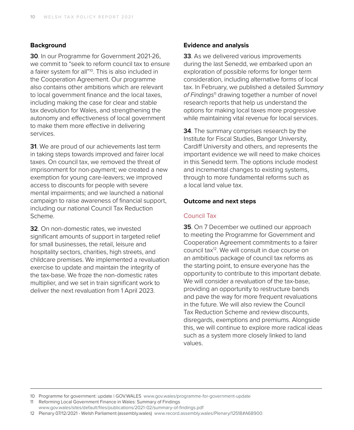#### **Background**

**30**. In our Programme for Government 2021-26, we commit to "seek to reform council tax to ensure a fairer system for all"10. This is also included in the Cooperation Agreement. Our programme also contains other ambitions which are relevant to local government finance and the local taxes, including making the case for clear and stable tax devolution for Wales, and strengthening the autonomy and effectiveness of local government to make them more effective in delivering services.

**31**. We are proud of our achievements last term in taking steps towards improved and fairer local taxes. On council tax, we removed the threat of imprisonment for non-payment; we created a new exemption for young care-leavers; we improved access to discounts for people with severe mental impairments; and we launched a national campaign to raise awareness of financial support, including our national Council Tax Reduction Scheme.

**32**. On non-domestic rates, we invested significant amounts of support in targeted relief for small businesses, the retail, leisure and hospitality sectors, charities, high streets, and childcare premises. We implemented a revaluation exercise to update and maintain the integrity of the tax-base. We froze the non-domestic rates multiplier, and we set in train significant work to deliver the next revaluation from 1 April 2023.

#### **Evidence and analysis**

**33**. As we delivered various improvements during the last Senedd, we embarked upon an exploration of possible reforms for longer term consideration, including alternative forms of local tax. In February, we published a detailed *Summary of Findings*11 drawing together a number of novel research reports that help us understand the options for making local taxes more progressive while maintaining vital revenue for local services.

**34**. The summary comprises research by the Institute for Fiscal Studies, Bangor University, Cardiff University and others, and represents the important evidence we will need to make choices in this Senedd term. The options include modest and incremental changes to existing systems, through to more fundamental reforms such as a local land value tax.

#### **Outcome and next steps**

#### Council Tax

**35**. On 7 December we outlined our approach to meeting the Programme for Government and Cooperation Agreement commitments to a fairer council tax12. We will consult in due course on an ambitious package of council tax reforms as the starting point, to ensure everyone has the opportunity to contribute to this important debate. We will consider a revaluation of the tax-base, providing an opportunity to restructure bands and pave the way for more frequent revaluations in the future. We will also review the Council Tax Reduction Scheme and review discounts, disregards, exemptions and premiums. Alongside this, we will continue to explore more radical ideas such as a system more closely linked to land values.

<sup>10</sup> Programme for government: update | GOV.WALES www[.gov.wales/programme-for-government-update](https://gov.wales/programme-for-government-update)

<sup>11</sup> Reforming Local Government Finance in Wales: Summary of Findings www.[gov.wales/sites/default/files/publications/2021-02/summary-of-findings.pdf](https://gov.wales/sites/default/files/publications/2021-02/summary-of-findings.pdf)

<sup>12</sup> Plenary 07/12/2021 - Welsh Parliament (assembly.wales) [www.record.assembly.wales/Plenary/12518#A68900](https://record.assembly.wales/Plenary/12518#A68900)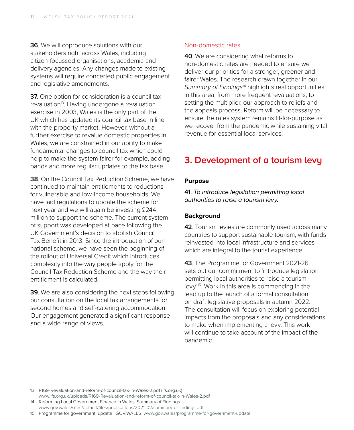**36**. We will coproduce solutions with our stakeholders right across Wales, including citizen-focussed organisations, academia and delivery agencies. Any changes made to existing systems will require concerted public engagement and legislative amendments.

**37.** One option for consideration is a council tax revaluation<sup>13</sup>. Having undergone a revaluation exercise in 2003, Wales is the only part of the UK which has updated its council tax base in line with the property market. However, without a further exercise to revalue domestic properties in Wales, we are constrained in our ability to make fundamental changes to council tax which could help to make the system fairer for example, adding bands and more regular updates to the tax base.

**38**. On the Council Tax Reduction Scheme, we have continued to maintain entitlements to reductions for vulnerable and low-income households. We have laid regulations to update the scheme for next year and we will again be investing £244 million to support the scheme. The current system of support was developed at pace following the UK Government's decision to abolish Council Tax Benefit in 2013. Since the introduction of our national scheme, we have seen the beginning of the rollout of Universal Credit which introduces complexity into the way people apply for the Council Tax Reduction Scheme and the way their entitlement is calculated.

**39**. We are also considering the next steps following our consultation on the local tax arrangements for second homes and self-catering accommodation. Our engagement generated a significant response and a wide range of views.

#### Non-domestic rates

**40**. We are considering what reforms to non-domestic rates are needed to ensure we deliver our priorities for a stronger, greener and fairer Wales. The research drawn together in our *Summary of Findings*14 highlights real opportunities in this area, from more frequent revaluations, to setting the multiplier, our approach to reliefs and the appeals process. Reform will be necessary to ensure the rates system remains fit-for-purpose as we recover from the pandemic while sustaining vital revenue for essential local services.

## **3. Development of a tourism levy**

#### **Purpose**

**41**. *To introduce legislation permitting local authorities to raise a tourism levy.*

#### **Background**

**42**. Tourism levies are commonly used across many countries to support sustainable tourism, with funds reinvested into local infrastructure and services which are integral to the tourist experience.

**43**. The Programme for Government 2021-26 sets out our commitment to 'introduce legislation permitting local authorities to raise a tourism levy'15. Work in this area is commencing in the lead up to the launch of a formal consultation on draft legislative proposals in autumn 2022. The consultation will focus on exploring potential impacts from the proposals and any considerations to make when implementing a levy. This work will continue to take account of the impact of the pandemic.

13 R169-Revaluation-and-reform-of-council-tax-in-Wales-2.pdf (ifs.org.uk)

www.[ifs.org.uk/uploads/R169-Revaluation-and-reform-of-council-tax-in-Wales-2.pdf](http://www.ifs.org.uk/uploads/R169-Revaluation-and-reform-of-council-tax-in-Wales-2.pdf) 14 Reforming Local Government Finance in Wales: Summary of Findings

www.[gov.wales/sites/default/files/publications/2021-02/summary-of-findings.pdf](http:///sites/default/files/publications/2021-02/summary-of-findings.pdf) 15 Programme for government: update | GOV.WALES www[.gov.wales/programme-for-government-update](https://gov.wales/programme-for-government-update)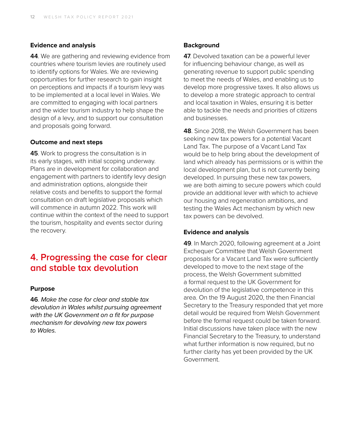#### **Evidence and analysis**

**44**. We are gathering and reviewing evidence from countries where tourism levies are routinely used to identify options for Wales. We are reviewing opportunities for further research to gain insight on perceptions and impacts if a tourism levy was to be implemented at a local level in Wales. We are committed to engaging with local partners and the wider tourism industry to help shape the design of a levy, and to support our consultation and proposals going forward.

#### **Outcome and next steps**

**45**. Work to progress the consultation is in its early stages, with initial scoping underway. Plans are in development for collaboration and engagement with partners to identify levy design and administration options, alongside their relative costs and benefits to support the formal consultation on draft legislative proposals which will commence in autumn 2022. This work will continue within the context of the need to support the tourism, hospitality and events sector during the recovery.

### **4. Progressing the case for clear and stable tax devolution**

#### **Purpose**

**46**. *Make the case for clear and stable tax devolution in Wales whilst pursuing agreement with the UK Government on a fit for purpose mechanism for devolving new tax powers to Wales.*

#### **Background**

**47**. Devolved taxation can be a powerful lever for influencing behaviour change, as well as generating revenue to support public spending to meet the needs of Wales, and enabling us to develop more progressive taxes. It also allows us to develop a more strategic approach to central and local taxation in Wales, ensuring it is better able to tackle the needs and priorities of citizens and businesses.

**48**. Since 2018, the Welsh Government has been seeking new tax powers for a potential Vacant Land Tax. The purpose of a Vacant Land Tax would be to help bring about the development of land which already has permissions or is within the local development plan, but is not currently being developed. In pursuing these new tax powers, we are both aiming to secure powers which could provide an additional lever with which to achieve our housing and regeneration ambitions, and testing the Wales Act mechanism by which new tax powers can be devolved.

#### **Evidence and analysis**

**49**. In March 2020, following agreement at a Joint Exchequer Committee that Welsh Government proposals for a Vacant Land Tax were sufficiently developed to move to the next stage of the process, the Welsh Government submitted a formal request to the UK Government for devolution of the legislative competence in this area. On the 19 August 2020, the then Financial Secretary to the Treasury responded that yet more detail would be required from Welsh Government before the formal request could be taken forward. Initial discussions have taken place with the new Financial Secretary to the Treasury, to understand what further information is now required, but no further clarity has yet been provided by the UK Government.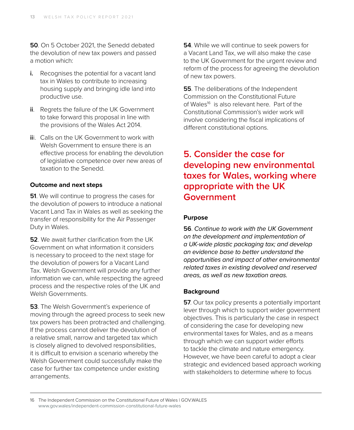**50**. On 5 October 2021, the Senedd debated the devolution of new tax powers and passed a motion which:

- **i.** Recognises the potential for a vacant land tax in Wales to contribute to increasing housing supply and bringing idle land into productive use.
- **ii**. Regrets the failure of the UK Government to take forward this proposal in line with the provisions of the Wales Act 2014.
- **ii**i. Calls on the UK Government to work with Welsh Government to ensure there is an effective process for enabling the devolution of legislative competence over new areas of taxation to the Senedd.

#### **Outcome and next steps**

**51.** We will continue to progress the cases for the devolution of powers to introduce a national Vacant Land Tax in Wales as well as seeking the transfer of responsibility for the Air Passenger Duty in Wales.

**52**. We await further clarification from the UK Government on what information it considers is necessary to proceed to the next stage for the devolution of powers for a Vacant Land Tax. Welsh Government will provide any further information we can, while respecting the agreed process and the respective roles of the UK and Welsh Governments.

**53**. The Welsh Government's experience of moving through the agreed process to seek new tax powers has been protracted and challenging. If the process cannot deliver the devolution of a relative small, narrow and targeted tax which is closely aligned to devolved responsibilities, it is difficult to envision a scenario whereby the Welsh Government could successfully make the case for further tax competence under existing arrangements.

**54**. While we will continue to seek powers for a Vacant Land Tax, we will also make the case to the UK Government for the urgent review and reform of the process for agreeing the devolution of new tax powers.

**55**. The deliberations of the Independent Commission on the Constitutional Future of Wales<sup>16</sup> is also relevant here. Part of the Constitutional Commission's wider work will involve considering the fiscal implications of different constitutional options.

## **5. Consider the case for developing new environmental taxes for Wales, working where appropriate with the UK Government**

#### **Purpose**

**56**. *Continue to work with the UK Government on the development and implementation of a UK-wide plastic packaging tax; and develop an evidence base to better understand the opportunities and impact of other environmental related taxes in existing devolved and reserved areas, as well as new taxation areas.* 

#### **Background**

**57.** Our tax policy presents a potentially important lever through which to support wider government objectives. This is particularly the case in respect of considering the case for developing new environmental taxes for Wales, and as a means through which we can support wider efforts to tackle the climate and nature emergency. However, we have been careful to adopt a clear strategic and evidenced based approach working with stakeholders to determine where to focus

<sup>16</sup> The Independent Commission on the Constitutional Future of Wales | GOV.WALES www[.gov.wales/independent-commission-constitutional-future-wales](https://gov.wales/independent-commission-constitutional-future-wales)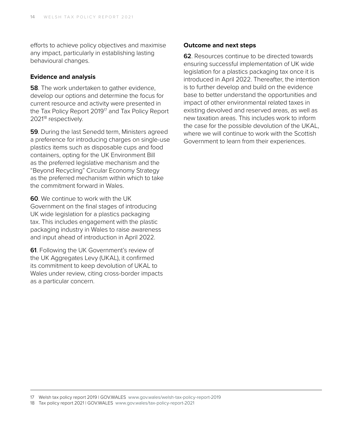efforts to achieve policy objectives and maximise any impact, particularly in establishing lasting behavioural changes.

#### **Evidence and analysis**

**58**. The work undertaken to gather evidence, develop our options and determine the focus for current resource and activity were presented in the Tax Policy Report 2019<sup>17</sup> and Tax Policy Report 2021<sup>18</sup> respectively.

**59**. During the last Senedd term, Ministers agreed a preference for introducing charges on single-use plastics items such as disposable cups and food containers, opting for the UK Environment Bill as the preferred legislative mechanism and the "Beyond Recycling" Circular Economy Strategy as the preferred mechanism within which to take the commitment forward in Wales.

**60**. We continue to work with the UK Government on the final stages of introducing UK wide legislation for a plastics packaging tax. This includes engagement with the plastic packaging industry in Wales to raise awareness and input ahead of introduction in April 2022.

**61**. Following the UK Government's review of the UK Aggregates Levy (UKAL), it confirmed its commitment to keep devolution of UKAL to Wales under review, citing cross-border impacts as a particular concern.

#### **Outcome and next steps**

**62**. Resources continue to be directed towards ensuring successful implementation of UK wide legislation for a plastics packaging tax once it is introduced in April 2022. Thereafter, the intention is to further develop and build on the evidence base to better understand the opportunities and impact of other environmental related taxes in existing devolved and reserved areas, as well as new taxation areas. This includes work to inform the case for the possible devolution of the UKAL, where we will continue to work with the Scottish Government to learn from their experiences.

17 Welsh tax policy report 2019 | GOV.WALES www[.gov.wales/welsh-tax-policy-report-2019](http://www.gov.wales/welsh-tax-policy-report-2019)

18 Tax policy report 2021 | GOV.WALES www.[gov.wales/tax-policy-report-2021](https://gov.wales/tax-policy-report-2021)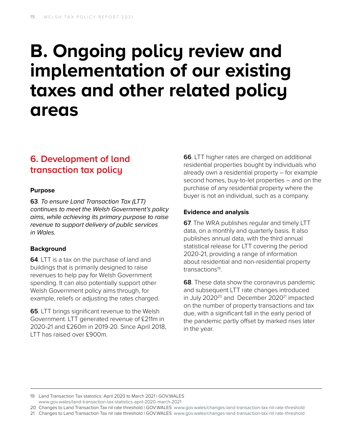## **B. Ongoing policy review and implementation of our existing taxes and other related policy areas**

## **6. Development of land transaction tax policy**

#### **Purpose**

**63**. *To ensure Land Transaction Tax (LTT) continues to meet the Welsh Government's policy aims, while achieving its primary purpose to raise revenue to support delivery of public services in Wales.* 

#### **Background**

**64**. LTT is a tax on the purchase of land and buildings that is primarily designed to raise revenues to help pay for Welsh Government spending. It can also potentially support other Welsh Government policy aims through, for example, reliefs or adjusting the rates charged.

**65**. LTT brings significant revenue to the Welsh Government. LTT generated revenue of £211m in 2020-21 and £260m in 2019-20. Since April 2018, LTT has raised over £900m.

**66**. LTT higher rates are charged on additional residential properties bought by individuals who already own a residential property – for example second homes, buy-to-let properties – and on the purchase of any residential property where the buyer is not an individual, such as a company.

#### **Evidence and analysis**

**67**. The WRA publishes regular and timely LTT data, on a monthly and quarterly basis. It also publishes annual data, with the third annual statistical release for LTT covering the period 2020-21, providing a range of information about residential and non-residential property transactions19.

**68**. These data show the coronavirus pandemic and subsequent LTT rate changes introduced in July 2020<sup>20</sup> and December 2020<sup>21</sup> impacted on the number of property transactions and tax due, with a significant fall in the early period of the pandemic partly offset by marked rises later in the year.

19 Land Transaction Tax statistics: April 2020 to March 2021 | GOV.WALES www.[gov.wales/land-transaction-tax-statistics-april-2020-march-2021](https://gov.wales/land-transaction-tax-statistics-april-2020-march-2021)

20 Changes to Land Transaction Tax nil rate threshold | GOV.WALES www[.gov.wales/changes-land-transaction-tax-nil-rate-threshold](https://gov.wales/changes-land-transaction-tax-nil-rate-threshold)

21 Changes to Land Transaction Tax nil rate threshold | GOV.WALES www[.gov.wales/changes-land-transaction-tax-nil-rate-threshold](https://gov.wales/changes-land-transaction-tax-nil-rate-threshold)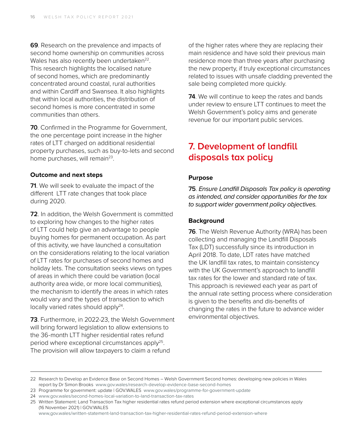**69**. Research on the prevalence and impacts of second home ownership on communities across Wales has also recently been undertaken<sup>22</sup>. This research highlights the localised nature of second homes, which are predominantly concentrated around coastal, rural authorities and within Cardiff and Swansea. It also highlights that within local authorities, the distribution of second homes is more concentrated in some communities than others.

**70**. Confirmed in the Programme for Government, the one percentage point increase in the higher rates of LTT charged on additional residential property purchases, such as buy-to-lets and second home purchases, will remain<sup>23</sup>.

#### **Outcome and next steps**

**71**. We will seek to evaluate the impact of the different LTT rate changes that took place during 2020.

**72**. In addition, the Welsh Government is committed to exploring how changes to the higher rates of LTT could help give an advantage to people buying homes for permanent occupation. As part of this activity, we have launched a consultation on the considerations relating to the local variation of LTT rates for purchases of second homes and holiday lets. The consultation seeks views on types of areas in which there could be variation (local authority area wide, or more local communities), the mechanism to identify the areas in which rates would vary and the types of transaction to which locally varied rates should apply<sup>24</sup>.

**73**. Furthermore, in 2022-23, the Welsh Government will bring forward legislation to allow extensions to the 36-month LTT higher residential rates refund period where exceptional circumstances apply25. The provision will allow taxpayers to claim a refund

of the higher rates where they are replacing their main residence and have sold their previous main residence more than three years after purchasing the new property, if truly exceptional circumstances related to issues with unsafe cladding prevented the sale being completed more quickly.

**74**. We will continue to keep the rates and bands under review to ensure LTT continues to meet the Welsh Government's policy aims and generate revenue for our important public services.

### **7. Development of landfill disposals tax policy**

#### **Purpose**

**75**. *Ensure Landfill Disposals Tax policy is operating as intended, and consider opportunities for the tax to support wider government policy objectives.*

#### **Background**

**76**. The Welsh Revenue Authority (WRA) has been collecting and managing the Landfill Disposals Tax (LDT) successfully since its introduction in April 2018. To date, LDT rates have matched the UK landfill tax rates, to maintain consistency with the UK Government's approach to landfill tax rates for the lower and standard rate of tax. This approach is reviewed each year as part of the annual rate setting process where consideration is given to the benefits and dis-benefits of changing the rates in the future to advance wider environmental objectives.

www,[gov.wales/written-statement-land-transaction-tax-higher-residential-rates-refund-period-extension-where](https://gov.wales/written-statement-land-transaction-tax-higher-residential-rates-refund-period-extension-where)

<sup>22</sup> Research to Develop an Evidence Base on Second Homes – Welsh Government Second homes: developing new policies in Wales report by Dr Simon Brooks www[.gov.wales/research-develop-evidence-base-second-homes](https://gov.wales/research-develop-evidence-base-second-homes)

<sup>23</sup> Programme for government: update | GOV.WALES www[.gov.wales/programme-for-government-update](https://gov.wales/programme-for-government-update)

<sup>24</sup> www.[gov.wales/second-homes-local-variation-to-land-transaction-tax-rates](https://gov.wales/second-homes-local-variation-to-land-transaction-tax-rates)

<sup>25</sup> Written Statement: Land Transaction Tax higher residential rates refund period extension where exceptional circumstances apply (16 November 2021) | GOV.WALES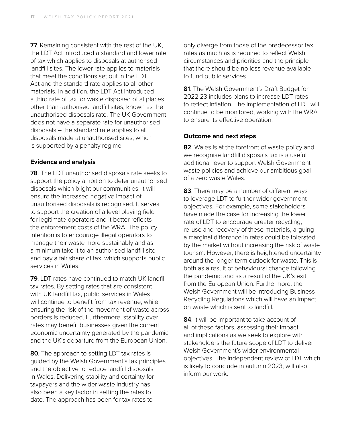**77**. Remaining consistent with the rest of the UK, the LDT Act introduced a standard and lower rate of tax which applies to disposals at authorised landfill sites. The lower rate applies to materials that meet the conditions set out in the LDT Act and the standard rate applies to all other materials. In addition, the LDT Act introduced a third rate of tax for waste disposed of at places other than authorised landfill sites, known as the unauthorised disposals rate. The UK Government does not have a separate rate for unauthorised disposals – the standard rate applies to all disposals made at unauthorised sites, which is supported by a penalty regime.

#### **Evidence and analysis**

**78**. The LDT unauthorised disposals rate seeks to support the policy ambition to deter unauthorised disposals which blight our communities. It will ensure the increased negative impact of unauthorised disposals is recognised. It serves to support the creation of a level playing field for legitimate operators and it better reflects the enforcement costs of the WRA. The policy intention is to encourage illegal operators to manage their waste more sustainably and as a minimum take it to an authorised landfill site and pay a fair share of tax, which supports public services in Wales.

**79**. LDT rates have continued to match UK landfill tax rates. By setting rates that are consistent with UK landfill tax, public services in Wales will continue to benefit from tax revenue, while ensuring the risk of the movement of waste across borders is reduced. Furthermore, stability over rates may benefit businesses given the current economic uncertainty generated by the pandemic and the UK's departure from the European Union.

**80**. The approach to setting LDT tax rates is guided by the Welsh Government's tax principles and the objective to reduce landfill disposals in Wales. Delivering stability and certainty for taxpayers and the wider waste industry has also been a key factor in setting the rates to date. The approach has been for tax rates to

only diverge from those of the predecessor tax rates as much as is required to reflect Welsh circumstances and priorities and the principle that there should be no less revenue available to fund public services.

**81**. The Welsh Government's Draft Budget for 2022-23 includes plans to increase LDT rates to reflect inflation. The implementation of LDT will continue to be monitored, working with the WRA to ensure its effective operation.

#### **Outcome and next steps**

**82**. Wales is at the forefront of waste policy and we recognise landfill disposals tax is a useful additional lever to support Welsh Government waste policies and achieve our ambitious goal of a zero waste Wales.

**83**. There may be a number of different ways to leverage LDT to further wider government objectives. For example, some stakeholders have made the case for increasing the lower rate of LDT to encourage greater recycling, re-use and recovery of these materials, arguing a marginal difference in rates could be tolerated by the market without increasing the risk of waste tourism. However, there is heightened uncertainty around the longer term outlook for waste. This is both as a result of behavioural change following the pandemic and as a result of the UK's exit from the European Union. Furthermore, the Welsh Government will be introducing Business Recycling Regulations which will have an impact on waste which is sent to landfill.

**84**. It will be important to take account of all of these factors, assessing their impact and implications as we seek to explore with stakeholders the future scope of LDT to deliver Welsh Government's wider environmental objectives. The independent review of LDT which is likely to conclude in autumn 2023, will also inform our work.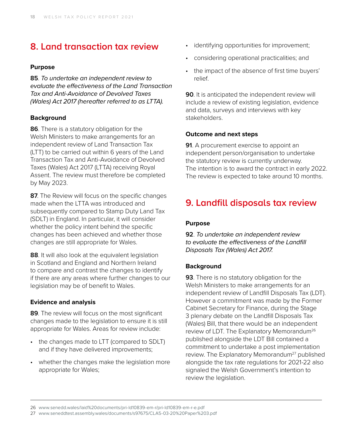## **8. Land transaction tax review**

#### **Purpose**

**85**. *To undertake an independent review to evaluate the effectiveness of the Land Transaction Tax and Anti-Avoidance of Devolved Taxes (Wales) Act 2017 (hereafter referred to as LTTA).*

#### **Background**

**86**. There is a statutory obligation for the Welsh Ministers to make arrangements for an independent review of Land Transaction Tax (LTT) to be carried out within 6 years of the Land Transaction Tax and Anti-Avoidance of Devolved Taxes (Wales) Act 2017 (LTTA) receiving Royal Assent. The review must therefore be completed by May 2023.

**87**. The Review will focus on the specific changes made when the LTTA was introduced and subsequently compared to Stamp Duty Land Tax (SDLT) in England. In particular, it will consider whether the policy intent behind the specific changes has been achieved and whether those changes are still appropriate for Wales.

**88**. It will also look at the equivalent legislation in Scotland and England and Northern Ireland to compare and contrast the changes to identify if there are any areas where further changes to our legislation may be of benefit to Wales.

#### **Evidence and analysis**

**89**. The review will focus on the most significant changes made to the legislation to ensure it is still appropriate for Wales. Areas for review include:

- the changes made to LTT (compared to SDLT) and if they have delivered improvements;
- whether the changes make the legislation more appropriate for Wales;
- identifying opportunities for improvement;
- considering operational practicalities; and
- the impact of the absence of first time buyers' relief.

**90**. It is anticipated the independent review will include a review of existing legislation, evidence and data, surveys and interviews with key stakeholders.

#### **Outcome and next steps**

**91**. A procurement exercise to appoint an independent person/organisation to undertake the statutory review is currently underway. The intention is to award the contract in early 2022. The review is expected to take around 10 months.

## **9. Landfill disposals tax review**

#### **Purpose**

**92**. *To undertake an independent review to evaluate the effectiveness of the Landfill Disposals Tax (Wales) Act 2017.*

#### **Background**

**93**. There is no statutory obligation for the Welsh Ministers to make arrangements for an independent review of Landfill Disposals Tax (LDT). However a commitment was made by the Former Cabinet Secretary for Finance, during the Stage 3 plenary debate on the Landfill Disposals Tax (Wales) Bill, that there would be an independent review of LDT. The Explanatory Memorandum26 published alongside the LDT Bill contained a commitment to undertake a post implementation review. The Explanatory Memorandum<sup>27</sup> published alongside the tax rate regulations for 2021-22 also signaled the Welsh Government's intention to review the legislation.

<sup>26</sup> www.[senedd.wales/laid%20documents/pri-ld10839-em-r/pri-ld10839-em-r-e.pdf](https://senedd.wales/laid%20documents/pri-ld10839-em-r/pri-ld10839-em-r-e.pdf)

<sup>27</sup> [www.seneddtest.assembly.wales/documents/s97675/CLA5-03-20%20Paper%203.pdf](mailto:http://www.seneddtest.assembly.wales/documents/s97675/CLA5-03-20%2520Paper%25203.pdf?subject=)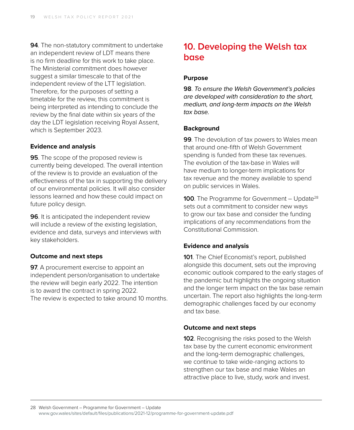**94**. The non-statutory commitment to undertake an independent review of LDT means there is no firm deadline for this work to take place. The Ministerial commitment does however suggest a similar timescale to that of the independent review of the LTT legislation. Therefore, for the purposes of setting a timetable for the review, this commitment is being interpreted as intending to conclude the review by the final date within six years of the day the LDT legislation receiving Royal Assent, which is September 2023.

#### **Evidence and analysis**

**95**. The scope of the proposed review is currently being developed. The overall intention of the review is to provide an evaluation of the effectiveness of the tax in supporting the delivery of our environmental policies. It will also consider lessons learned and how these could impact on future policy design.

**96**. It is anticipated the independent review will include a review of the existing legislation, evidence and data, surveys and interviews with key stakeholders.

#### **Outcome and next steps**

**97.** A procurement exercise to appoint an independent person/organisation to undertake the review will begin early 2022. The intention is to award the contract in spring 2022. The review is expected to take around 10 months.

## **10. Developing the Welsh tax base**

#### **Purpose**

**98**. *To ensure the Welsh Government's policies are developed with consideration to the short, medium, and long-term impacts on the Welsh tax base.*

#### **Background**

**99**. The devolution of tax powers to Wales mean that around one-fifth of Welsh Government spending is funded from these tax revenues. The evolution of the tax-base in Wales will have medium to longer-term implications for tax revenue and the money available to spend on public services in Wales.

**100**. The Programme for Government – Update<sup>28</sup> sets out a commitment to consider new ways to grow our tax base and consider the funding implications of any recommendations from the Constitutional Commission.

#### **Evidence and analysis**

**101**. The Chief Economist's report, published alongside this document, sets out the improving economic outlook compared to the early stages of the pandemic but highlights the ongoing situation and the longer term impact on the tax base remain uncertain. The report also highlights the long-term demographic challenges faced by our economy and tax base.

#### **Outcome and next steps**

**102**. Recognising the risks posed to the Welsh tax base by the current economic environment and the long-term demographic challenges, we continue to take wide-ranging actions to strengthen our tax base and make Wales an attractive place to live, study, work and invest.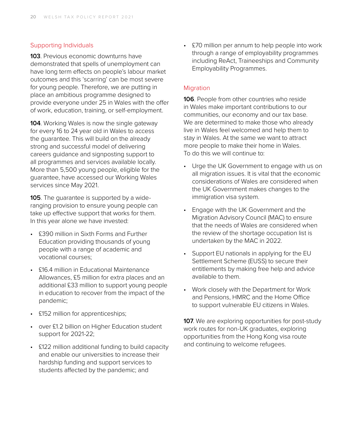#### Supporting Individuals

**103**. Previous economic downturns have demonstrated that spells of unemployment can have long term effects on people's labour market outcomes and this 'scarring' can be most severe for young people. Therefore, we are putting in place an ambitious programme designed to provide everyone under 25 in Wales with the offer of work, education, training, or self-employment.

**104**. Working Wales is now the single gateway for every 16 to 24 year old in Wales to access the guarantee. This will build on the already strong and successful model of delivering careers guidance and signposting support to all programmes and services available locally. More than 5,500 young people, eligible for the guarantee, have accessed our Working Wales services since May 2021.

**105**. The guarantee is supported by a wideranging provision to ensure young people can take up effective support that works for them. In this year alone we have invested:

- £390 million in Sixth Forms and Further Education providing thousands of young people with a range of academic and vocational courses;
- £16.4 million in Educational Maintenance Allowances, £5 million for extra places and an additional £33 million to support young people in education to recover from the impact of the pandemic;
- £152 million for apprenticeships;
- over £1.2 billion on Higher Education student support for 2021-22;
- £122 million additional funding to build capacity and enable our universities to increase their hardship funding and support services to students affected by the pandemic; and

• £70 million per annum to help people into work through a range of employability programmes including ReAct, Traineeships and Community Employability Programmes.

#### Migration

**106**. People from other countries who reside in Wales make important contributions to our communities, our economy and our tax base. We are determined to make those who already live in Wales feel welcomed and help them to stay in Wales. At the same we want to attract more people to make their home in Wales. To do this we will continue to:

- Urge the UK Government to engage with us on all migration issues. It is vital that the economic considerations of Wales are considered when the UK Government makes changes to the immigration visa system.
- Engage with the UK Government and the Migration Advisory Council (MAC) to ensure that the needs of Wales are considered when the review of the shortage occupation list is undertaken by the MAC in 2022.
- Support EU nationals in applying for the EU Settlement Scheme (EUSS) to secure their entitlements by making free help and advice available to them.
- Work closely with the Department for Work and Pensions, HMRC and the Home Office to support vulnerable EU citizens in Wales.

**107.** We are exploring opportunities for post-study work routes for non-UK graduates, exploring opportunities from the Hong Kong visa route and continuing to welcome refugees.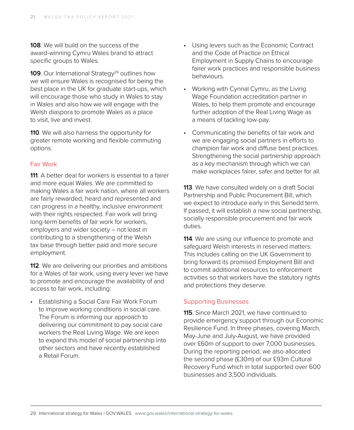**108**. We will build on the success of the award-winning Cymru Wales brand to attract specific groups to Wales.

**109.** Our International Strategy<sup>29</sup> outlines how we will ensure Wales is recognised for being the best place in the UK for graduate start-ups, which will encourage those who study in Wales to stay in Wales and also how we will engage with the Welsh diaspora to promote Wales as a place to visit, live and invest.

**110**. We will also harness the opportunity for greater remote working and flexible commuting options.

#### Fair Work

**111**. A better deal for workers is essential to a fairer and more equal Wales. We are committed to making Wales a fair work nation, where all workers are fairly rewarded, heard and represented and can progress in a healthy, inclusive environment with their rights respected. Fair work will bring long-term benefits of fair work for workers, employers and wider society – not least in contributing to a strengthening of the Welsh tax base through better paid and more secure employment.

**112**. We are delivering our priorities and ambitions for a Wales of fair work, using every lever we have to promote and encourage the availability of and access to fair work, including:

• Establishing a Social Care Fair Work Forum to improve working conditions in social care. The Forum is informing our approach to delivering our commitment to pay social care workers the Real Living Wage. We are keen to expand this model of social partnership into other sectors and have recently established a Retail Forum.

- Using levers such as the Economic Contract and the Code of Practice on Ethical Employment in Supply Chains to encourage fairer work practices and responsible business behaviours.
- Working with Cynnal Cymru, as the Living Wage Foundation accreditation partner in Wales, to help them promote and encourage further adoption of the Real Living Wage as a means of tackling low-pay.
- Communicating the benefits of fair work and we are engaging social partners in efforts to champion fair work and diffuse best practices. Strengthening the social partnership approach as a key mechanism through which we can make workplaces fairer, safer and better for all.

**113**. We have consulted widely on a draft Social Partnership and Public Procurement Bill, which we expect to introduce early in this Senedd term. If passed, it will establish a new social partnership, socially responsible procurement and fair work duties.

**114**. We are using our influence to promote and safeguard Welsh interests in reserved matters. This includes calling on the UK Government to bring forward its promised Employment Bill and to commit additional resources to enforcement activities so that workers have the statutory rights and protections they deserve.

#### Supporting Businesses

**115**. Since March 2021, we have continued to provide emergency support through our Economic Resilience Fund. In three phases, covering March, May-June and July-August, we have provided over £60m of support to over 7,000 businesses. During the reporting period, we also allocated the second phase (£30m) of our £93m Cultural Recovery Fund which in total supported over 600 businesses and 3,500 individuals.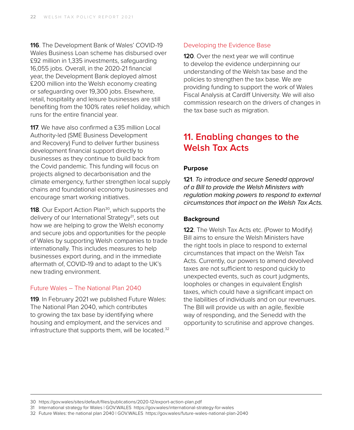**116**. The Development Bank of Wales' COVID-19 Wales Business Loan scheme has disbursed over £92 million in 1,335 investments, safeguarding 16,055 jobs. Overall, in the 2020-21 financial year, the Development Bank deployed almost £200 million into the Welsh economy creating or safeguarding over 19,300 jobs. Elsewhere, retail, hospitality and leisure businesses are still benefiting from the 100% rates relief holiday, which runs for the entire financial year.

**117.** We have also confirmed a £35 million Local Authority-led (SME Business Development and Recovery) Fund to deliver further business development financial support directly to businesses as they continue to build back from the Covid pandemic. This funding will focus on projects aligned to decarbonisation and the climate emergency, further strengthen local supply chains and foundational economy businesses and encourage smart working initiatives.

**118**. Our Export Action Plan<sup>30</sup>, which supports the delivery of our International Strategy<sup>31</sup>, sets out how we are helping to grow the Welsh economy and secure jobs and opportunities for the people of Wales by supporting Welsh companies to trade internationally. This includes measures to help businesses export during, and in the immediate aftermath of, COVID-19 and to adapt to the UK's new trading environment.

#### Future Wales – The National Plan 2040

**119**. In February 2021 we published Future Wales: The National Plan 2040, which contributes to growing the tax base by identifying where housing and employment, and the services and infrastructure that supports them, will be located. $32$ 

#### Developing the Evidence Base

**120**. Over the next year we will continue to develop the evidence underpinning our understanding of the Welsh tax base and the policies to strengthen the tax base. We are providing funding to support the work of Wales Fiscal Analysis at Cardiff University. We will also commission research on the drivers of changes in the tax base such as migration.

### **11. Enabling changes to the Welsh Tax Acts**

#### **Purpose**

**121**. *To introduce and secure Senedd approval of a Bill to provide the Welsh Ministers with regulation making powers to respond to external circumstances that impact on the Welsh Tax Acts.* 

#### **Background**

**122.** The Welsh Tax Acts etc. (Power to Modify) Bill aims to ensure the Welsh Ministers have the right tools in place to respond to external circumstances that impact on the Welsh Tax Acts. Currently, our powers to amend devolved taxes are not sufficient to respond quickly to unexpected events, such as court judgments, loopholes or changes in equivalent English taxes, which could have a significant impact on the liabilities of individuals and on our revenues. The Bill will provide us with an agile, flexible way of responding, and the Senedd with the opportunity to scrutinise and approve changes.

<sup>30</sup> https://gov.wales/sites/default/files/publications/2020-12/export-action-plan.pdf

<sup>31</sup> International strategy for Wales | GOV.WALES https://gov.wales/international-strategy-for-wales

<sup>32</sup> Future Wales: the national plan 2040 | GOV.WALES https://gov.wales/future-wales-national-plan-2040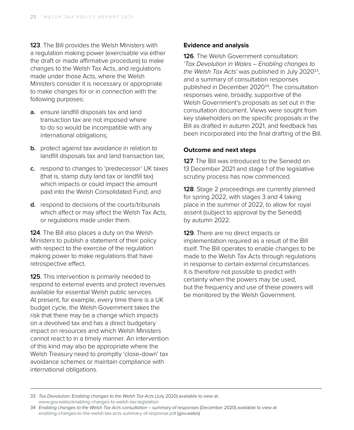**123**. The Bill provides the Welsh Ministers with a regulation making power (exercisable via either the draft or made affirmative procedure) to make changes to the Welsh Tax Acts, and regulations made under those Acts, where the Welsh Ministers consider it is necessary or appropriate to make changes for or in connection with the following purposes:

- **a.** ensure landfill disposals tax and land transaction tax are not imposed where to do so would be incompatible with any international obligations;
- **b.** protect against tax avoidance in relation to landfill disposals tax and land transaction tax;
- **c.** respond to changes to 'predecessor' UK taxes (that is, stamp duty land tax or landfill tax) which impacts or could impact the amount paid into the Welsh Consolidated Fund; and
- **d.** respond to decisions of the courts/tribunals which affect or may affect the Welsh Tax Acts, or regulations made under them.

**124**. The Bill also places a duty on the Welsh Ministers to publish a statement of their policy with respect to the exercise of the regulation making power to make regulations that have retrospective effect.

**125**. This intervention is primarily needed to respond to external events and protect revenues available for essential Welsh public services. At present, for example, every time there is a UK budget cycle, the Welsh Government takes the risk that there may be a change which impacts on a devolved tax and has a direct budgetary impact on resources and which Welsh Ministers cannot react to in a timely manner. An intervention of this kind may also be appropriate where the Welsh Treasury need to promptly 'close-down' tax avoidance schemes or maintain compliance with international obligations.

#### **Evidence and analysis**

**126**. The Welsh Government consultation: *'Tax Devolution in Wales – Enabling changes to the Welsh Tax Acts'* was published in July 202033, and a summary of consultation responses published in December 2020<sup>34</sup>. The consultation responses were, broadly, supportive of the Welsh Government's proposals as set out in the consultation document. Views were sought from key stakeholders on the specific proposals in the Bill as drafted in autumn 2021, and feedback has been incorporated into the final drafting of the Bill.

#### **Outcome and next steps**

**127.** The Bill was introduced to the Senedd on 13 December 2021 and stage 1 of the legislative scrutiny process has now commenced.

**128**. Stage 2 proceedings are currently planned for spring 2022, with stages 3 and 4 taking place in the summer of 2022, to allow for royal assent (subject to approval by the Senedd) by autumn 2022.

**129**. There are no direct impacts or implementation required as a result of the Bill itself. The Bill operates to enable changes to be made to the Welsh Tax Acts through regulations in response to certain external circumstances. It is therefore not possible to predict with certainty when the powers may be used, but the frequency and use of these powers will be monitored by the Welsh Government.

<sup>33</sup> *Tax Devolution: Enabling changes to the Welsh Tax Acts (July 2020) available to view at:* www.[gov.wales/enabling-changes-to-welsh-tax-legislation](http://www.gov.wales/enabling-changes-to-welsh-tax-legislation)

<sup>34</sup> *Enabling changes to the Welsh Tax Acts consultation – summary of responses* (December 2020) available to view at: [enabling-changes-to-the-welsh-tax-acts-summary-of-response.pdf](https://eur01.safelinks.protection.outlook.com/?url=https%3A%2F%2Fgov.wales%2Fsites%2Fdefault%2Ffiles%2Fconsultations%2F2020-12%2Fenabling-changes-to-the-welsh-tax-acts-summary-of-response.pdf&data=04%7C01%7CRepa.Antonio%40gov.wales%7C6843567feda34f9e592e08d9a39750d1%7Ca2cc36c592804ae78887d06dab89216b%7C0%7C0%7C637720692548894210%7CUnknown%7CTWFpbGZsb3d8eyJWIjoiMC4wLjAwMDAiLCJQIjoiV2luMzIiLCJBTiI6Ik1haWwiLCJXVCI6Mn0%3D%7C1000&sdata=AgiM6P2n32TpBsiwJFqaHu4OVLtJIO6vPY3aNF08bGM%3D&reserved=0) (gov.wales)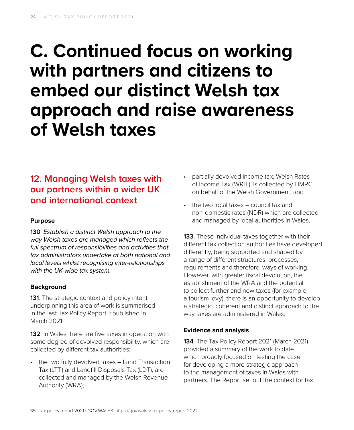## **C. Continued focus on working with partners and citizens to embed our distinct Welsh tax approach and raise awareness of Welsh taxes**

## **12. Managing Welsh taxes with our partners within a wider UK and international context**

#### **Purpose**

**130**. *Establish a distinct Welsh approach to the way Welsh taxes are managed which reflects the full spectrum of responsibilities and activities that tax administrators undertake at both national and local levels whilst recognising inter-relationships with the UK-wide tax system.* 

#### **Background**

**131**. The strategic context and policy intent underpinning this area of work is summarised in the last Tax Policy Report $35$  published in March 2021.

**132**. In Wales there are five taxes in operation with some degree of devolved responsibility, which are collected by different tax authorities:

• the two fully devolved taxes – Land Transaction Tax (LTT) and Landfill Disposals Tax (LDT), are collected and managed by the Welsh Revenue Authority (WRA);

- partially devolved income tax, Welsh Rates of Income Tax (WRIT), is collected by HMRC on behalf of the Welsh Government; and
- the two local taxes council tax and non-domestic rates (NDR) which are collected and managed by local authorities in Wales.

**133**. These individual taxes together with their different tax collection authorities have developed differently, being supported and shaped by a range of different structures, processes, requirements and therefore, ways of working. However, with greater fiscal devolution, the establishment of the WRA and the potential to collect further and new taxes (for example, a tourism levy), there is an opportunity to develop a strategic, coherent and distinct approach to the way taxes are administered in Wales.

#### **Evidence and analysis**

**134**. The Tax Policy Report 2021 (March 2021) provided a summary of the work to date which broadly focused on testing the case for developing a more strategic approach to the management of taxes in Wales with partners. The Report set out the context for tax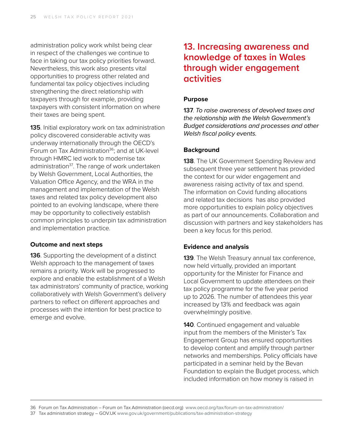administration policy work whilst being clear in respect of the challenges we continue to face in taking our tax policy priorities forward. Nevertheless, this work also presents vital opportunities to progress other related and fundamental tax policy objectives including strengthening the direct relationship with taxpayers through for example, providing taxpayers with consistent information on where their taxes are being spent.

**135**. Initial exploratory work on tax administration policy discovered considerable activity was underway internationally through the OECD's Forum on Tax Administration<sup>36</sup>; and at UK-level through HMRC led work to modernise tax administration<sup>37</sup>. The range of work undertaken by Welsh Government, Local Authorities, the Valuation Office Agency, and the WRA in the management and implementation of the Welsh taxes and related tax policy development also pointed to an evolving landscape, where there may be opportunity to collectively establish common principles to underpin tax administration and implementation practice.

#### **Outcome and next steps**

**136**. Supporting the development of a distinct Welsh approach to the management of taxes remains a priority. Work will be progressed to explore and enable the establishment of a Welsh tax administrators' community of practice, working collaboratively with Welsh Government's delivery partners to reflect on different approaches and processes with the intention for best practice to emerge and evolve.

## **13. Increasing awareness and knowledge of taxes in Wales through wider engagement activities**

#### **Purpose**

**137**. *To raise awareness of devolved taxes and the relationship with the Welsh Government's Budget considerations and processes and other Welsh fiscal policy events.* 

#### **Background**

**138**. The UK Government Spending Review and subsequent three year settlement has provided the context for our wider engagement and awareness raising activity of tax and spend. The information on Covid funding allocations and related tax decisions has also provided more opportunities to explain policy objectives as part of our announcements. Collaboration and discussion with partners and key stakeholders has been a key focus for this period.

#### **Evidence and analysis**

**139**. The Welsh Treasury annual tax conference, now held virtually, provided an important opportunity for the Minister for Finance and Local Government to update attendees on their tax policy programme for the five year period up to 2026. The number of attendees this year increased by 13% and feedback was again overwhelmingly positive.

**140**. Continued engagement and valuable input from the members of the Minister's Tax Engagement Group has ensured opportunities to develop content and amplify through partner networks and memberships. Policy officials have participated in a seminar held by the Bevan Foundation to explain the Budget process, which included information on how money is raised in

37 Tax administration strategy – GOV.UK [www.gov.uk/government/publications/tax-administration-strategy](https://www.gov.uk/government/publications/tax-administration-strategy)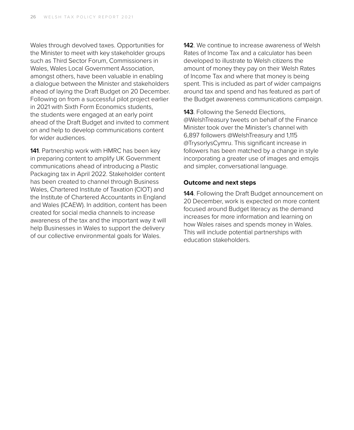Wales through devolved taxes. Opportunities for the Minister to meet with key stakeholder groups such as Third Sector Forum, Commissioners in Wales, Wales Local Government Association, amongst others, have been valuable in enabling a dialogue between the Minister and stakeholders ahead of laying the Draft Budget on 20 December. Following on from a successful pilot project earlier in 2021 with Sixth Form Economics students, the students were engaged at an early point ahead of the Draft Budget and invited to comment on and help to develop communications content for wider audiences.

**141**. Partnership work with HMRC has been key in preparing content to amplify UK Government communications ahead of introducing a Plastic Packaging tax in April 2022. Stakeholder content has been created to channel through Business Wales, Chartered Institute of Taxation (CIOT) and the Institute of Chartered Accountants in England and Wales (ICAEW). In addition, content has been created for social media channels to increase awareness of the tax and the important way it will help Businesses in Wales to support the delivery of our collective environmental goals for Wales.

**142**. We continue to increase awareness of Welsh Rates of Income Tax and a calculator has been developed to illustrate to Welsh citizens the amount of money they pay on their Welsh Rates of Income Tax and where that money is being spent. This is included as part of wider campaigns around tax and spend and has featured as part of the Budget awareness communications campaign.

**143**. Following the Senedd Elections, @WelshTreasury tweets on behalf of the Finance Minister took over the Minister's channel with 6,897 followers @WelshTreasury and 1,115 @TrysorlysCymru. This significant increase in followers has been matched by a change in style incorporating a greater use of images and emojis and simpler, conversational language.

#### **Outcome and next steps**

**144**. Following the Draft Budget announcement on 20 December, work is expected on more content focused around Budget literacy as the demand increases for more information and learning on how Wales raises and spends money in Wales. This will include potential partnerships with education stakeholders.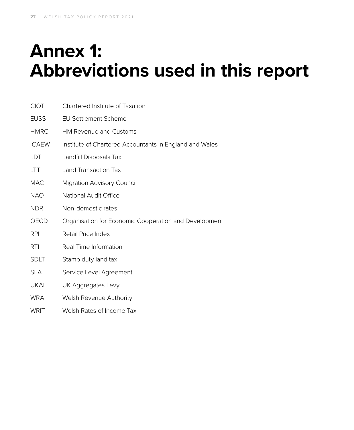## **Annex 1: Abbreviations used in this report**

| <b>CIOT</b>  | Chartered Institute of Taxation                         |
|--------------|---------------------------------------------------------|
| <b>EUSS</b>  | <b>EU Settlement Scheme</b>                             |
| <b>HMRC</b>  | <b>HM Revenue and Customs</b>                           |
| <b>ICAEW</b> | Institute of Chartered Accountants in England and Wales |
| LDT          | Landfill Disposals Tax                                  |
| <b>LTT</b>   | Land Transaction Tax                                    |
| <b>MAC</b>   | <b>Migration Advisory Council</b>                       |
| <b>NAO</b>   | National Audit Office                                   |
| <b>NDR</b>   | Non-domestic rates                                      |
| OECD         | Organisation for Economic Cooperation and Development   |
| <b>RPI</b>   | Retail Price Index                                      |
| RTI          | Real Time Information                                   |
| <b>SDLT</b>  | Stamp duty land tax                                     |
| <b>SLA</b>   | Service Level Agreement                                 |
| <b>UKAL</b>  | UK Aggregates Levy                                      |
| <b>WRA</b>   | Welsh Revenue Authority                                 |
| <b>WRIT</b>  | Welsh Rates of Income Tax                               |